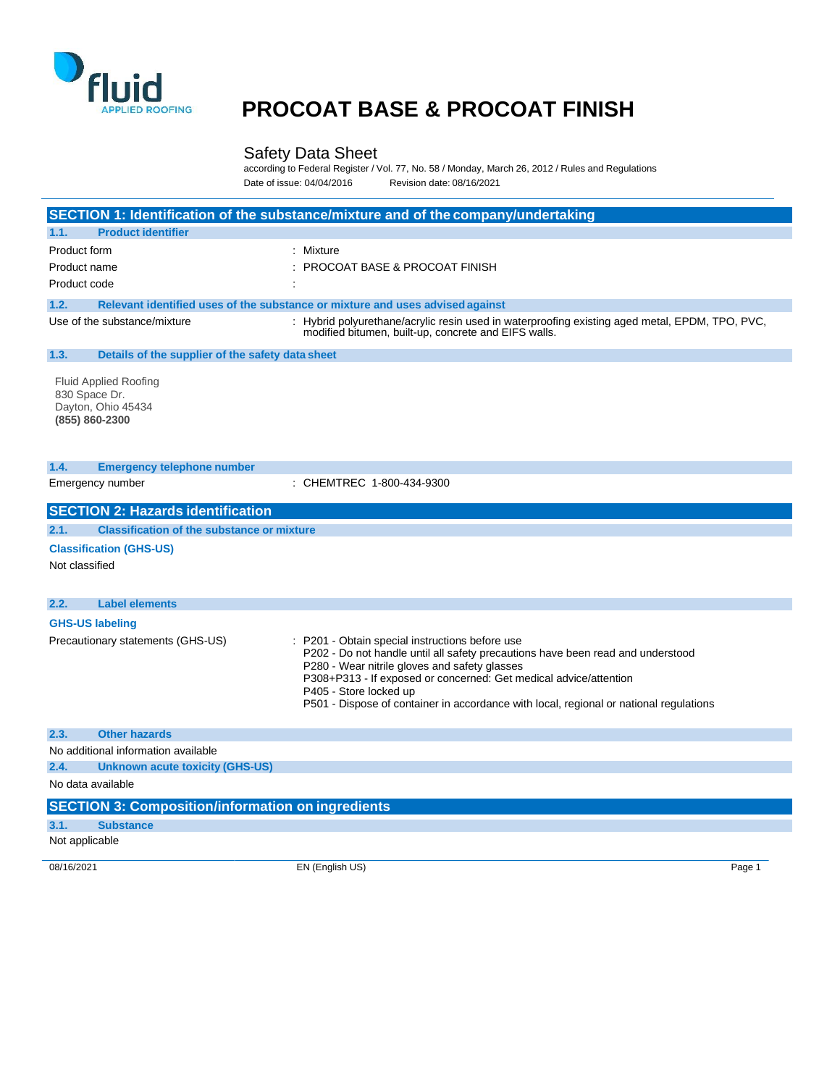

#### Safety Data Sheet

according to Federal Register / Vol. 77, No. 58 / Monday, March 26, 2012 / Rules and Regulations Date of issue: 04/04/2016 Revision date: 08/16/2021

|                                                                                                                                                                                    | SECTION 1: Identification of the substance/mixture and of the company/undertaking                                                                                                     |
|------------------------------------------------------------------------------------------------------------------------------------------------------------------------------------|---------------------------------------------------------------------------------------------------------------------------------------------------------------------------------------|
| <b>Product identifier</b><br>1.1.                                                                                                                                                  |                                                                                                                                                                                       |
| Product form                                                                                                                                                                       | : Mixture                                                                                                                                                                             |
| Product name                                                                                                                                                                       | <b>PROCOAT BASE &amp; PROCOAT FINISH</b>                                                                                                                                              |
| Product code                                                                                                                                                                       |                                                                                                                                                                                       |
| 1.2.                                                                                                                                                                               | Relevant identified uses of the substance or mixture and uses advised against                                                                                                         |
| Use of the substance/mixture                                                                                                                                                       | : Hybrid polyurethane/acrylic resin used in waterproofing existing aged metal, EPDM, TPO, PVC,<br>modified bitumen, built-up, concrete and EIFS walls.                                |
| 1.3.<br>Details of the supplier of the safety data sheet                                                                                                                           |                                                                                                                                                                                       |
| <b>Fluid Applied Roofing</b><br>830 Space Dr.<br>Dayton, Ohio 45434<br>(855) 860-2300                                                                                              |                                                                                                                                                                                       |
| 1.4.<br><b>Emergency telephone number</b>                                                                                                                                          |                                                                                                                                                                                       |
| Emergency number                                                                                                                                                                   | : CHEMTREC 1-800-434-9300                                                                                                                                                             |
|                                                                                                                                                                                    |                                                                                                                                                                                       |
| 2.2.<br><b>Label elements</b>                                                                                                                                                      |                                                                                                                                                                                       |
| <b>GHS-US labeling</b><br>Precautionary statements (GHS-US)                                                                                                                        | P201 - Obtain special instructions before use<br>P202 - Do not handle until all safety precautions have been read and understood<br>P280 - Wear nitrile gloves and safety glasses     |
|                                                                                                                                                                                    | P308+P313 - If exposed or concerned: Get medical advice/attention<br>P405 - Store locked up<br>P501 - Dispose of container in accordance with local, regional or national regulations |
| <b>Other hazards</b>                                                                                                                                                               |                                                                                                                                                                                       |
|                                                                                                                                                                                    |                                                                                                                                                                                       |
| <b>Unknown acute toxicity (GHS-US)</b>                                                                                                                                             |                                                                                                                                                                                       |
|                                                                                                                                                                                    |                                                                                                                                                                                       |
|                                                                                                                                                                                    |                                                                                                                                                                                       |
| 2.3.<br>No additional information available<br>2.4.<br>No data available<br><b>SECTION 3: Composition/information on ingredients</b><br>3.1.<br><b>Substance</b><br>Not applicable |                                                                                                                                                                                       |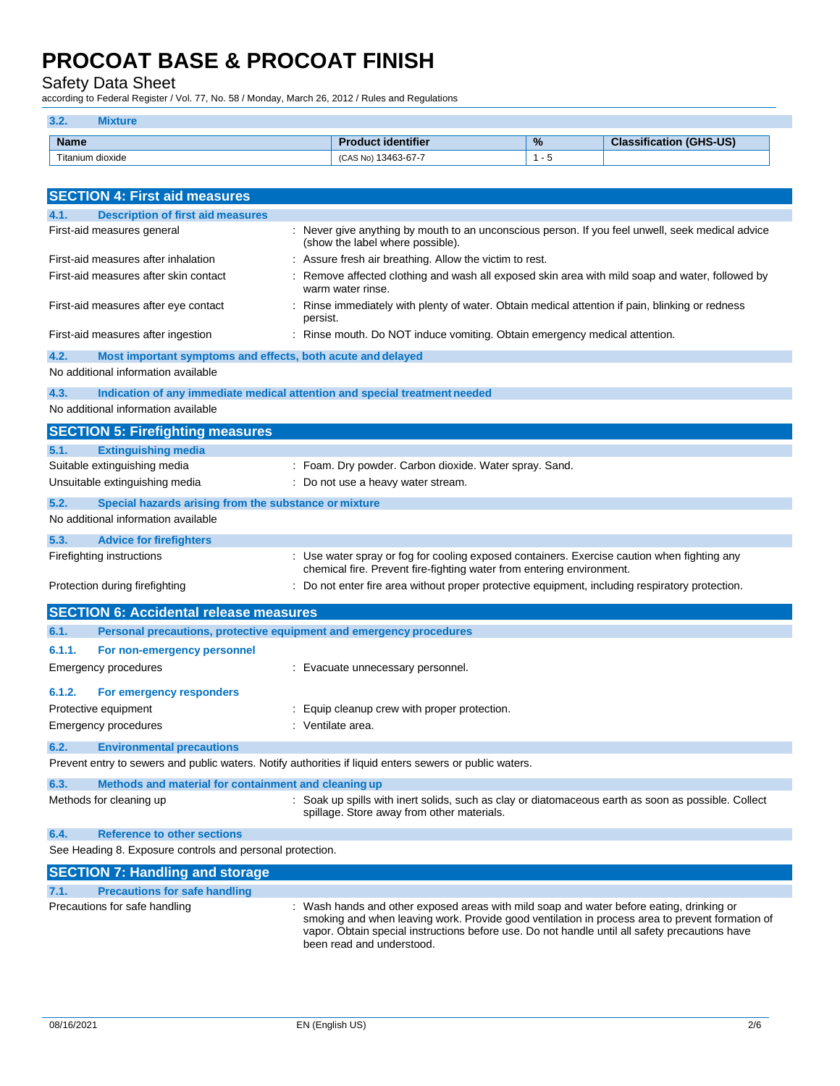Safety Data Sheet

according to Federal Register / Vol. 77, No. 58 / Monday, March 26, 2012 / Rules and Regulations

### **3.2. Mixture**

| <b>Name</b>      | identifier                              | $\%$ | (GHS-US)<br>.<br>$\sim$<br><u>язынсан.</u><br>$-10$ |
|------------------|-----------------------------------------|------|-----------------------------------------------------|
| Fitanium dioxide | $.3463 - 67 - 7$<br><b>CAS</b><br>৲ NG. |      |                                                     |

| <b>SECTION 4: First aid measures</b>                                                                       |                                                                                                                                                                      |
|------------------------------------------------------------------------------------------------------------|----------------------------------------------------------------------------------------------------------------------------------------------------------------------|
| <b>Description of first aid measures</b><br>4.1.                                                           |                                                                                                                                                                      |
| First-aid measures general                                                                                 | : Never give anything by mouth to an unconscious person. If you feel unwell, seek medical advice<br>(show the label where possible).                                 |
| First-aid measures after inhalation                                                                        | : Assure fresh air breathing. Allow the victim to rest.                                                                                                              |
| First-aid measures after skin contact                                                                      | Remove affected clothing and wash all exposed skin area with mild soap and water, followed by<br>warm water rinse.                                                   |
| First-aid measures after eye contact                                                                       | Rinse immediately with plenty of water. Obtain medical attention if pain, blinking or redness<br>persist.                                                            |
| First-aid measures after ingestion                                                                         | : Rinse mouth. Do NOT induce vomiting. Obtain emergency medical attention.                                                                                           |
| 4.2.<br>Most important symptoms and effects, both acute and delayed<br>No additional information available |                                                                                                                                                                      |
| 4.3.<br>Indication of any immediate medical attention and special treatment needed                         |                                                                                                                                                                      |
| No additional information available                                                                        |                                                                                                                                                                      |
| <b>SECTION 5: Firefighting measures</b>                                                                    |                                                                                                                                                                      |
|                                                                                                            |                                                                                                                                                                      |
| <b>Extinguishing media</b><br>5.1.<br>Suitable extinguishing media                                         | : Foam. Dry powder. Carbon dioxide. Water spray. Sand.                                                                                                               |
| Unsuitable extinguishing media                                                                             | : Do not use a heavy water stream.                                                                                                                                   |
|                                                                                                            |                                                                                                                                                                      |
| 5.2.<br>Special hazards arising from the substance or mixture<br>No additional information available       |                                                                                                                                                                      |
|                                                                                                            |                                                                                                                                                                      |
| 5.3.<br><b>Advice for firefighters</b>                                                                     |                                                                                                                                                                      |
| Firefighting instructions                                                                                  | : Use water spray or fog for cooling exposed containers. Exercise caution when fighting any<br>chemical fire. Prevent fire-fighting water from entering environment. |
| Protection during firefighting                                                                             | : Do not enter fire area without proper protective equipment, including respiratory protection.                                                                      |
| <b>SECTION 6: Accidental release measures</b>                                                              |                                                                                                                                                                      |
| Personal precautions, protective equipment and emergency procedures<br>6.1.                                |                                                                                                                                                                      |
| 6.1.1.<br>For non-emergency personnel                                                                      |                                                                                                                                                                      |
| Emergency procedures                                                                                       | : Evacuate unnecessary personnel.                                                                                                                                    |
|                                                                                                            |                                                                                                                                                                      |
| 6.1.2.<br>For emergency responders                                                                         |                                                                                                                                                                      |
| Protective equipment                                                                                       | : Equip cleanup crew with proper protection.<br>: Ventilate area.                                                                                                    |
| Emergency procedures                                                                                       |                                                                                                                                                                      |
| 6.2.<br><b>Environmental precautions</b>                                                                   |                                                                                                                                                                      |
| Prevent entry to sewers and public waters. Notify authorities if liquid enters sewers or public waters.    |                                                                                                                                                                      |
| 6.3.<br>Methods and material for containment and cleaning up                                               |                                                                                                                                                                      |
| Methods for cleaning up                                                                                    | : Soak up spills with inert solids, such as clay or diatomaceous earth as soon as possible. Collect<br>spillage. Store away from other materials.                    |
| <b>Reference to other sections</b><br>6.4.                                                                 |                                                                                                                                                                      |
| See Heading 8. Exposure controls and personal protection.                                                  |                                                                                                                                                                      |
| <b>SECTION 7: Handling and storage</b>                                                                     |                                                                                                                                                                      |
| <b>Precautions for safe handling</b><br>7.1.                                                               |                                                                                                                                                                      |
| Precautions for safe handling                                                                              | : Wash hands and other exposed areas with mild soap and water before eating, drinking or                                                                             |

smoking and when leaving work. Provide good ventilation in process area to prevent formation of vapor. Obtain special instructions before use. Do not handle until all safety precautions have been read and understood.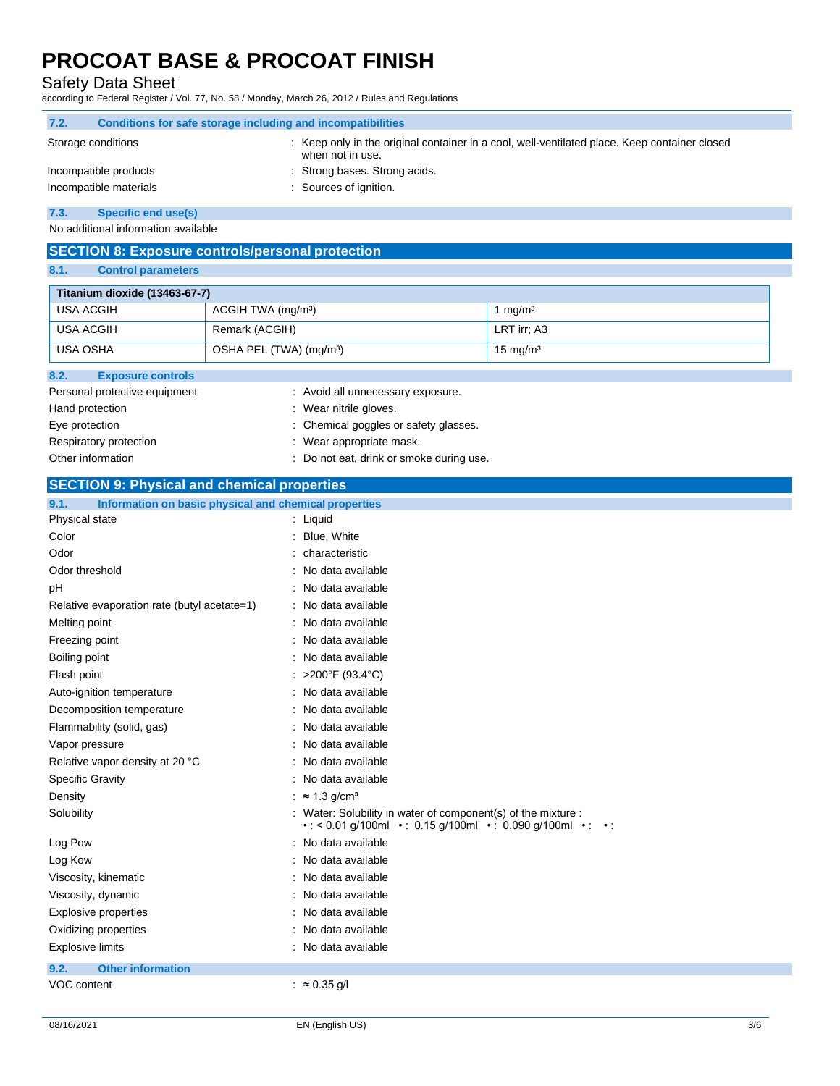Safety Data Sheet

according to Federal Register / Vol. 77, No. 58 / Monday, March 26, 2012 / Rules and Regulations

| 7.2. | Conditions for safe storage including and incompatibilities |                                                                                                                   |
|------|-------------------------------------------------------------|-------------------------------------------------------------------------------------------------------------------|
|      | Storage conditions                                          | : Keep only in the original container in a cool, well-ventilated place. Keep container closed<br>when not in use. |
|      | Incompatible products                                       | : Strong bases. Strong acids.                                                                                     |
|      | Incompatible materials                                      | : Sources of ignition.                                                                                            |
| 7.3. | Specific end use(s)                                         |                                                                                                                   |

No additional information available

#### **SECTION 8: Exposure controls/personal protection**

**8.1. Control parameters**

| <b>Titanium dioxide (13463-67-7)</b>            |                                       |                     |  |
|-------------------------------------------------|---------------------------------------|---------------------|--|
| USA ACGIH                                       | ACGIH TWA (mg/m <sup>3</sup> )        | 1 $ma/m3$           |  |
| <b>USA ACGIH</b>                                | Remark (ACGIH)                        | LRT irr; A3         |  |
| USA OSHA<br>OSHA PEL (TWA) (mg/m <sup>3</sup> ) |                                       | $15 \text{ mg/m}^3$ |  |
| 8.2.<br><b>Exposure controls</b>                |                                       |                     |  |
| Personal protective equipment                   | : Avoid all unnecessary exposure.     |                     |  |
| Hand protection<br>: Wear nitrile gloves.       |                                       |                     |  |
| Eye protection                                  | : Chemical goggles or safety glasses. |                     |  |

Respiratory protection **in the contract of the CO** is wear appropriate mask. Other information **Calcular Contract Contract Contract Contract Contract Contract Contract Contract Contract Contract Contract Contract Contract Contract Contract Contract Contract Contract Contract Contract Contract Contr** 

### **SECTION 9: Physical and chemical properties**

| Information on basic physical and chemical properties<br>9.1. |                                                                                                                                                  |
|---------------------------------------------------------------|--------------------------------------------------------------------------------------------------------------------------------------------------|
| Physical state                                                | : Liquid                                                                                                                                         |
| Color                                                         | : Blue, White                                                                                                                                    |
| Odor                                                          | : characteristic                                                                                                                                 |
| Odor threshold                                                | : No data available                                                                                                                              |
| рH                                                            | : No data available                                                                                                                              |
| Relative evaporation rate (butyl acetate=1)                   | : No data available                                                                                                                              |
| Melting point                                                 | : No data available                                                                                                                              |
| Freezing point                                                | : No data available                                                                                                                              |
| Boiling point                                                 | : No data available                                                                                                                              |
| Flash point                                                   | : >200°F (93.4°C)                                                                                                                                |
| Auto-ignition temperature                                     | : No data available                                                                                                                              |
| Decomposition temperature                                     | : No data available                                                                                                                              |
| Flammability (solid, gas)                                     | : No data available                                                                                                                              |
| Vapor pressure                                                | : No data available                                                                                                                              |
| Relative vapor density at 20 °C                               | : No data available                                                                                                                              |
| <b>Specific Gravity</b>                                       | : No data available                                                                                                                              |
| Density                                                       | : $\approx 1.3$ g/cm <sup>3</sup>                                                                                                                |
| Solubility                                                    | Water: Solubility in water of component(s) of the mixture :<br>$\cdot$ < 0.01 g/100ml $\cdot$ 0.15 g/100ml $\cdot$ 0.090 g/100ml $\cdot$ $\cdot$ |
| Log Pow                                                       | : No data available                                                                                                                              |
| Log Kow                                                       | : No data available                                                                                                                              |
| Viscosity, kinematic                                          | : No data available                                                                                                                              |
| Viscosity, dynamic                                            | : No data available                                                                                                                              |
| <b>Explosive properties</b>                                   | : No data available                                                                                                                              |
| Oxidizing properties                                          | : No data available                                                                                                                              |
| <b>Explosive limits</b>                                       | : No data available                                                                                                                              |
| <b>Other information</b><br>9.2.                              |                                                                                                                                                  |
| <b>VOC content</b>                                            | : $\approx 0.35$ g/l                                                                                                                             |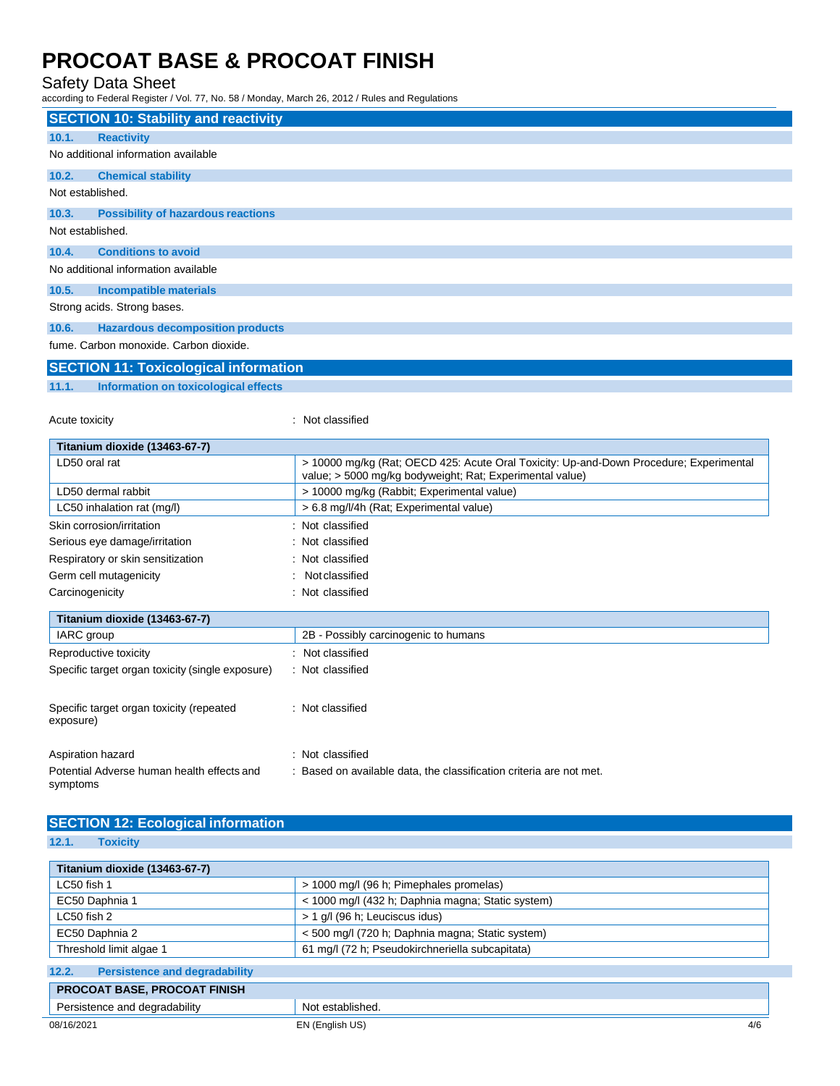Safety Data Sheet

according to Federal Register / Vol. 77, No. 58 / Monday, March 26, 2012 / Rules and Regulations

|                  | <b>SECTION 10: Stability and reactivity</b>  |
|------------------|----------------------------------------------|
| 10.1.            | <b>Reactivity</b>                            |
|                  | No additional information available          |
| 10.2.            | <b>Chemical stability</b>                    |
| Not established. |                                              |
| 10.3.            | <b>Possibility of hazardous reactions</b>    |
| Not established. |                                              |
| 10.4.            | <b>Conditions to avoid</b>                   |
|                  | No additional information available          |
| 10.5.            | Incompatible materials                       |
|                  | Strong acids. Strong bases.                  |
| 10.6.            | <b>Hazardous decomposition products</b>      |
|                  | fume, Carbon monoxide, Carbon dioxide.       |
|                  | <b>SECTION 11: Toxicological information</b> |

### **11.1. Information on toxicological effects**

Acute toxicity in the contract of the contract of the contract of the contract of the contract of the contract of the contract of the contract of the contract of the contract of the contract of the contract of the contract

| Titanium dioxide (13463-67-7)                    |                                                                                                                                                    |
|--------------------------------------------------|----------------------------------------------------------------------------------------------------------------------------------------------------|
| LD50 oral rat                                    | > 10000 mg/kg (Rat; OECD 425: Acute Oral Toxicity: Up-and-Down Procedure; Experimental<br>value; > 5000 mg/kg bodyweight; Rat; Experimental value) |
| LD50 dermal rabbit                               | > 10000 mg/kg (Rabbit; Experimental value)                                                                                                         |
| LC50 inhalation rat (mg/l)                       | > 6.8 mg/l/4h (Rat; Experimental value)                                                                                                            |
| Skin corrosion/irritation                        | : Not classified                                                                                                                                   |
| Serious eye damage/irritation                    | : Not classified                                                                                                                                   |
| Respiratory or skin sensitization                | : Not classified                                                                                                                                   |
| Germ cell mutagenicity                           | Not classified                                                                                                                                     |
| Carcinogenicity                                  | : Not classified                                                                                                                                   |
| Titanium dioxide (13463-67-7)                    |                                                                                                                                                    |
| IARC group                                       | 2B - Possibly carcinogenic to humans                                                                                                               |
| Reproductive toxicity                            | : Not classified                                                                                                                                   |
| Specific target organ toxicity (single exposure) | : Not classified                                                                                                                                   |

| Specific target organ toxicity (repeated<br>exposure) | : Not classified |  |
|-------------------------------------------------------|------------------|--|
| .                                                     | .                |  |

| Aspiration hazard                                      | : Not classified                                                    |
|--------------------------------------------------------|---------------------------------------------------------------------|
| Potential Adverse human health effects and<br>symptoms | : Based on available data, the classification criteria are not met. |

### **SECTION 12: Ecological information**

**12.1. Toxicity**

| Titanium dioxide (13463-67-7)                 |                                                   |     |
|-----------------------------------------------|---------------------------------------------------|-----|
| LC50 fish 1                                   | > 1000 mg/l (96 h; Pimephales promelas)           |     |
| EC50 Daphnia 1                                | < 1000 mg/l (432 h; Daphnia magna; Static system) |     |
| LC50 fish 2                                   | > 1 g/l (96 h; Leuciscus idus)                    |     |
| EC50 Daphnia 2                                | < 500 mg/l (720 h; Daphnia magna; Static system)  |     |
| Threshold limit algae 1                       | 61 mg/l (72 h; Pseudokirchneriella subcapitata)   |     |
| <b>Persistence and degradability</b><br>12.2. |                                                   |     |
| <b>PROCOAT BASE, PROCOAT FINISH</b>           |                                                   |     |
| Persistence and degradability                 | Not established.                                  |     |
| 08/16/2021                                    | EN (English US)                                   | 4/6 |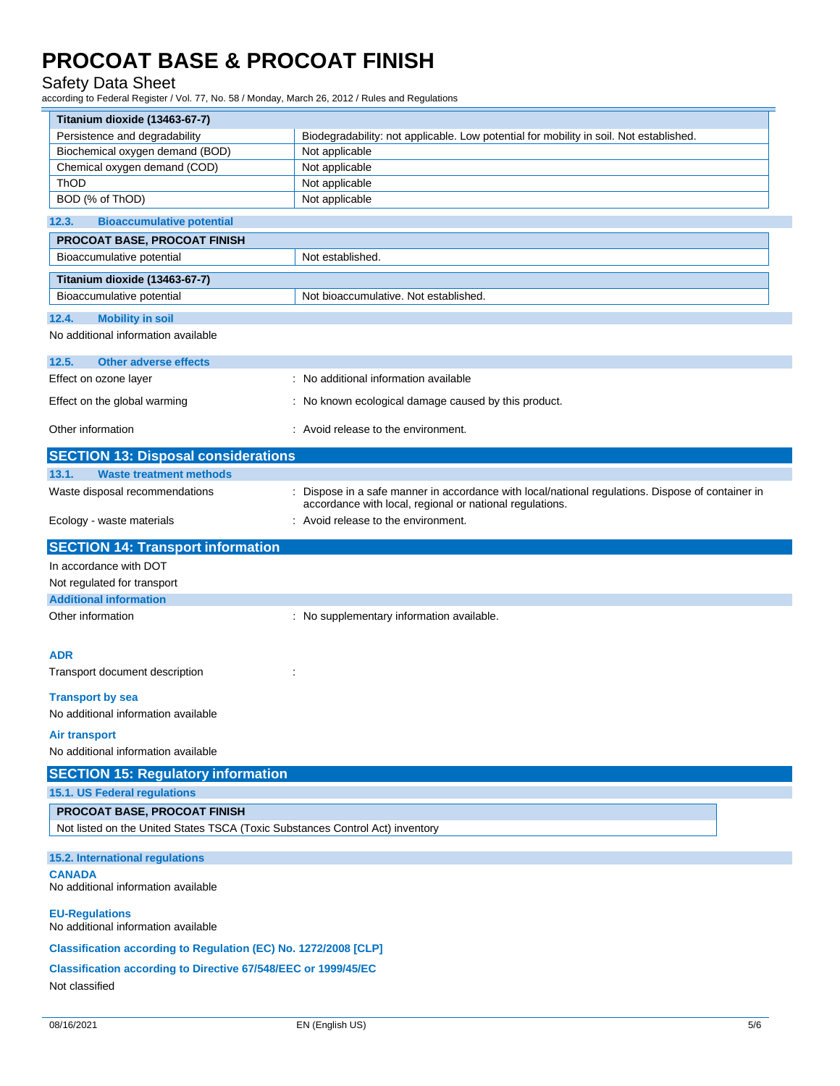#### Safety Data Sheet

according to Federal Register / Vol. 77, No. 58 / Monday, March 26, 2012 / Rules and Regulations

| Titanium dioxide (13463-67-7)                                                 |                                                                                                                                                               |  |
|-------------------------------------------------------------------------------|---------------------------------------------------------------------------------------------------------------------------------------------------------------|--|
| Persistence and degradability                                                 | Biodegradability: not applicable. Low potential for mobility in soil. Not established.                                                                        |  |
| Biochemical oxygen demand (BOD)                                               | Not applicable                                                                                                                                                |  |
| Chemical oxygen demand (COD)                                                  | Not applicable                                                                                                                                                |  |
| ThOD<br>BOD (% of ThOD)                                                       | Not applicable<br>Not applicable                                                                                                                              |  |
|                                                                               |                                                                                                                                                               |  |
| 12.3.<br><b>Bioaccumulative potential</b>                                     |                                                                                                                                                               |  |
| PROCOAT BASE, PROCOAT FINISH<br>Bioaccumulative potential                     | Not established.                                                                                                                                              |  |
|                                                                               |                                                                                                                                                               |  |
| Titanium dioxide (13463-67-7)<br>Bioaccumulative potential                    | Not bioaccumulative. Not established                                                                                                                          |  |
| 12.4.<br><b>Mobility in soil</b>                                              |                                                                                                                                                               |  |
| No additional information available                                           |                                                                                                                                                               |  |
| 12.5.<br><b>Other adverse effects</b>                                         |                                                                                                                                                               |  |
| Effect on ozone layer                                                         | : No additional information available                                                                                                                         |  |
| Effect on the global warming                                                  | : No known ecological damage caused by this product.                                                                                                          |  |
| Other information                                                             | : Avoid release to the environment.                                                                                                                           |  |
| <b>SECTION 13: Disposal considerations</b>                                    |                                                                                                                                                               |  |
| 13.1.<br><b>Waste treatment methods</b>                                       |                                                                                                                                                               |  |
| Waste disposal recommendations                                                | : Dispose in a safe manner in accordance with local/national regulations. Dispose of container in<br>accordance with local, regional or national regulations. |  |
| Ecology - waste materials                                                     | : Avoid release to the environment.                                                                                                                           |  |
| <b>SECTION 14: Transport information</b>                                      |                                                                                                                                                               |  |
| In accordance with DOT                                                        |                                                                                                                                                               |  |
| Not regulated for transport                                                   |                                                                                                                                                               |  |
| <b>Additional information</b>                                                 |                                                                                                                                                               |  |
| Other information                                                             | : No supplementary information available.                                                                                                                     |  |
|                                                                               |                                                                                                                                                               |  |
| <b>ADR</b>                                                                    |                                                                                                                                                               |  |
| Transport document description                                                | ÷                                                                                                                                                             |  |
| <b>Transport by sea</b><br>No additional information available                |                                                                                                                                                               |  |
| <b>Air transport</b>                                                          |                                                                                                                                                               |  |
| No additional information available                                           |                                                                                                                                                               |  |
| <b>SECTION 15: Regulatory information</b>                                     |                                                                                                                                                               |  |
| 15.1. US Federal regulations                                                  |                                                                                                                                                               |  |
| PROCOAT BASE, PROCOAT FINISH                                                  |                                                                                                                                                               |  |
| Not listed on the United States TSCA (Toxic Substances Control Act) inventory |                                                                                                                                                               |  |
| 15.2. International regulations                                               |                                                                                                                                                               |  |
| <b>CANADA</b>                                                                 |                                                                                                                                                               |  |
| No additional information available                                           |                                                                                                                                                               |  |
| <b>EU-Regulations</b><br>No additional information available                  |                                                                                                                                                               |  |
| Classification according to Regulation (EC) No. 1272/2008 [CLP]               |                                                                                                                                                               |  |
| <b>Classification according to Directive 67/548/EEC or 1999/45/EC</b>         |                                                                                                                                                               |  |
| Not classified                                                                |                                                                                                                                                               |  |